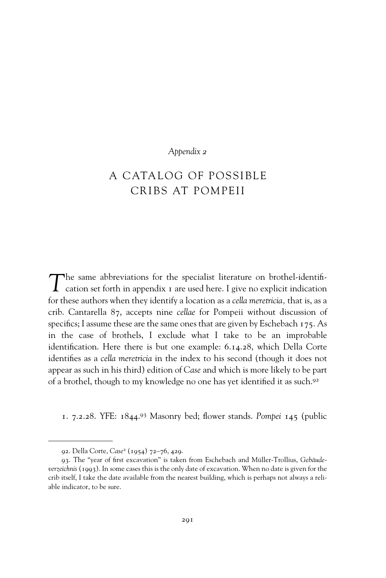## *Appendix 2*

## A CATALOG OF POSSIBLE CRIBS AT POMPEII

The same abbreviations for the specialist literature on brothel-identification set forth in appendix 1 are used here. I give no explicit indication for these authors when they identify a location as a *cella meretricia,* that is, as a crib. Cantarella 87, accepts nine *cellae* for Pompeii without discussion of specifics; I assume these are the same ones that are given by Eschebach  $175$ . As in the case of brothels, I exclude what I take to be an improbable identification. Here there is but one example: 6.14.28, which Della Corte identifies as a *cella meretricia* in the index to his second (though it does not appear as such in his third) edition of *Case* and which is more likely to be part of a brothel, though to my knowledge no one has yet identified it as such.<sup>92</sup>

1. 7.2.28. YFE: 1844.<sup>93</sup> Masonry bed; flower stands. *Pompei* 145 (public

<sup>92.</sup> Della Corte, *Case*<sup>2</sup> (1954) 72–76, 429.

<sup>93.</sup> The "year of first excavation" is taken from Eschebach and Müller-Trollius, Gebäude*verzeichnis* (1993). In some cases this is the only date of excavation. When no date is given for the crib itself, I take the date available from the nearest building, which is perhaps not always a reliable indicator, to be sure.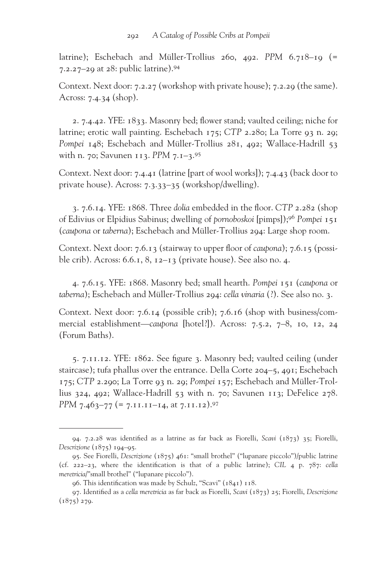latrine); Eschebach and Müller-Trollius 260, 492. *PPM* 6.718–19 (= 7.2.27–29 at 28: public latrine).94

Context. Next door: 7.2.27 (workshop with private house); 7.2.29 (the same). Across: 7.4.34 (shop).

2.  $7.4.42$ . YFE:  $1833$ . Masonry bed; flower stand; vaulted ceiling; niche for latrine; erotic wall painting. Eschebach 175; *CTP* 2.280; La Torre 93 n. 29; Pompei 148; Eschebach and Müller-Trollius 281, 492; Wallace-Hadrill 53 with n. 70; Savunen 113. *PPM* 7.1–3.95

Context. Next door: 7.4.41 (latrine [part of wool works]); 7.4.43 (back door to private house). Across: 7.3.33–35 (workshop/dwelling).

3. 7.6.14. YFE: 1868. Three *dolia* embedded in the floor. CTP 2.282 (shop of Edivius or Elpidius Sabinus; dwelling of *pornoboskoi* [pimps]);96 *Pompei* 151 (*caupona* or *taberna*); Eschebach and Müller-Trollius 294: Large shop room.

Context. Next door: 7.6.13 (stairway to upper floor of *caupona*); 7.6.15 (possible crib). Across: 6.6.1, 8, 12–13 (private house). See also no. 4.

4. 7.6.15. YFE: 1868. Masonry bed; small hearth. *Pompei* 151 (*caupona* or *taberna*); Eschebach and Müller-Trollius 294: *cella vinaria* (?). See also no. 3.

Context. Next door: 7.6.14 (possible crib); 7.6.16 (shop with business/commercial establishment—*caupona* [hotel?]). Across: 7.5.2, 7–8, 10, 12, 24 (Forum Baths).

5. 7.11.12. YFE: 1862. See figure 3. Masonry bed; vaulted ceiling (under staircase); tufa phallus over the entrance. Della Corte 204–5, 491; Eschebach 175; *CTP* 2.290; La Torre 93 n. 29; *Pompei* 157; Eschebach and Müller-Trollius 324, 492; Wallace-Hadrill 53 with n. 70; Savunen 113; DeFelice 278. *PPM* 7.463-77 (= 7.11.11-14, at 7.11.12).<sup>97</sup>

<sup>94. 7.2.28</sup> was identified as a latrine as far back as Fiorelli, *Scavi* (1873) 35; Fiorelli, *Descrizione* (1875) 194–95.

<sup>95.</sup> See Fiorelli, *Descrizione* (1875) 461: "small brothel" ("lupanare piccolo")/public latrine (cf. 222–23, where the identification is that of a public latrine); CIL 4 p.  $787$ : *cella meretricia*/"small brothel" ("lupanare piccolo").

<sup>96.</sup> This identification was made by Schulz, "Scavi" (1841) 118.

<sup>97.</sup> Identified as a *cella meretricia* as far back as Fiorelli, *Scavi* (1873) 25; Fiorelli, *Descrizione*  $(1875)$  279.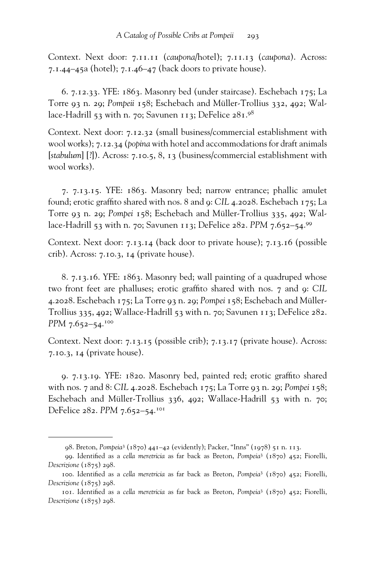Context. Next door: 7.11.11 (*caupona*/hotel); 7.11.13 (*caupona*). Across: 7.1.44–45a (hotel); 7.1.46–47 (back doors to private house).

6. 7.12.33. YFE: 1863. Masonry bed (under staircase). Eschebach 175; La Torre 93 n. 29; *Pompeii* 158; Eschebach and Müller-Trollius 332, 492; Wallace-Hadrill 53 with n. 70; Savunen 113; DeFelice  $281.98$ 

Context. Next door: 7.12.32 (small business/commercial establishment with wool works); 7.12.34 (*popina* with hotel and accommodations for draft animals [*stabulum*] [?]). Across: 7.10.5, 8, 13 (business/commercial establishment with wool works).

7. 7.13.15. YFE: 1863. Masonry bed; narrow entrance; phallic amulet found; erotic graffito shared with nos. 8 and 9: CIL 4.2028. Eschebach 175; La Torre 93 n. 29; *Pompei* 158; Eschebach and Müller-Trollius 335, 492; Wallace-Hadrill 53 with n. 70; Savunen 113; DeFelice 282. *PPM* 7.652–54.99

Context. Next door: 7.13.14 (back door to private house); 7.13.16 (possible crib). Across: 7.10.3, 14 (private house).

8. 7.13.16. YFE: 1863. Masonry bed; wall painting of a quadruped whose two front feet are phalluses; erotic graffito shared with nos. 7 and 9: CIL 4.2028. Eschebach 175; La Torre 93 n. 29; *Pompei* 158; Eschebach and Müller-Trollius 335, 492; Wallace-Hadrill 53 with n. 70; Savunen 113; DeFelice 282. *PPM* 7.652–54.<sup>100</sup>

Context. Next door: 7.13.15 (possible crib); 7.13.17 (private house). Across: 7.10.3, 14 (private house).

9. 7.13.19. YFE: 1820. Masonry bed, painted red; erotic graffito shared with nos. 7 and 8: *CIL* 4.2028. Eschebach 175; La Torre 93 n. 29; *Pompei* 158; Eschebach and Müller-Trollius 336, 492; Wallace-Hadrill 53 with n. 70; DeFelice 282. PPM 7.652-54.<sup>101</sup>

<sup>98.</sup> Breton, *Pompeia*<sup>3</sup> (1870) 441–42 (evidently); Packer, "Inns" (1978) 51 n. 113.

<sup>99.</sup> Identified as a *cella meretricia* as far back as Breton, *Pompeia*<sup>3</sup> (1870) 452; Fiorelli, *Descrizione* (1875) 298.

<sup>100.</sup> Identified as a *cella meretricia* as far back as Breton, *Pompeia*<sup>3</sup> (1870) 452; Fiorelli, *Descrizione* (1875) 298.

<sup>101.</sup> Identified as a *cella meretricia* as far back as Breton, *Pompeia*<sup>3</sup> (1870) 452; Fiorelli, *Descrizione* (1875) 298.